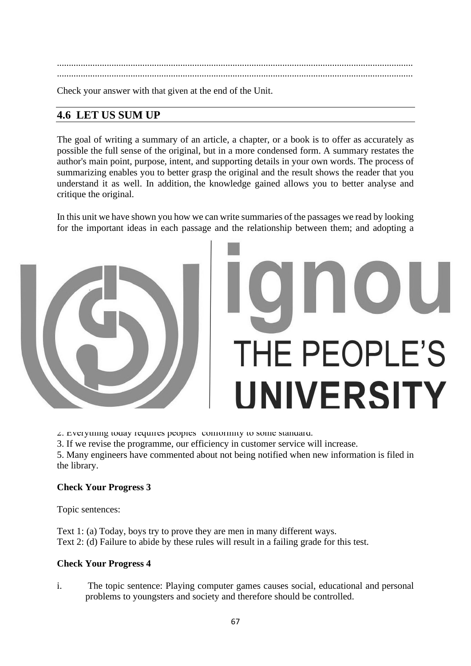...................................................................................................................................................... ......................................................................................................................................................

Check your answer with that given at the end of the Unit.

# **4.6 LET US SUM UP**

The goal of writing a summary of an article, a chapter, or a book is to offer as accurately as possible the full sense of the original, but in a more condensed form. A summary restates the author's main point, purpose, intent, and supporting details in your own words. The process of summarizing enables you to better grasp the original and the result shows the reader that you understand it as well. In addition, the knowledge gained allows you to better analyse and critique the original.

In this unit we have shown you how we can write summaries of the passages we read by looking for the important ideas in each passage and the relationship between them; and adopting a proper arrangement for the main points in the summary and linking the various sentences in it with the use of connectives.

## **4.7 SUGGESTED READING**

J. Zukowski/Faust, S.S. Johnston and C.S. Atkonson: *Between the Lines.* 

# **4.8 ANSWERS**

## **Check Your Progress 1**

1. i. imports ii. verified iii. versatile iv. prospective

v. aggravate vi. acquittal vii. arbitrate viii. infallible

## **Check Your Progress 2**

1. I suggest we alter the length of the cloak.

- 2. Everything today requires peoples' conformity to some standard.
- 3. If we revise the programme, our efficiency in customer service will increase.

5. Many engineers have commented about not being notified when new information is filed in the library.

## **Check Your Progress 3**

Topic sentences:

Text 1: (a) Today, boys try to prove they are men in many different ways. Text 2: (d) Failure to abide by these rules will result in a failing grade for this test.

## **Check Your Progress 4**

i. The topic sentence: Playing computer games causes social, educational and personal problems to youngsters and society and therefore should be controlled.